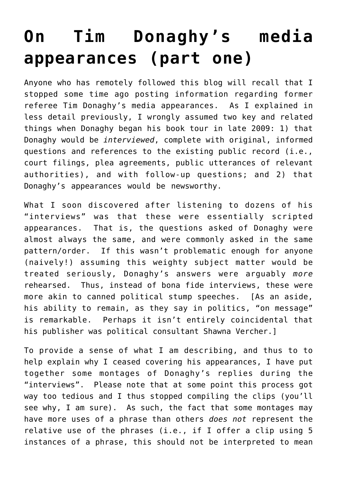## **[On Tim Donaghy's media](https://seanpatrickgriffin.net/on-tim-donaghys-media-appearances-par/) [appearances \(part one\)](https://seanpatrickgriffin.net/on-tim-donaghys-media-appearances-par/)**

Anyone who has remotely followed [this blog](http://nbascandal.blogspot.com/) will recall that I stopped some time ago posting information regarding former referee Tim Donaghy's media appearances. As I explained in less detail [previously](https://seanpatrickgriffin.net/on-diminishing-posting-of-donaghy-media/), I wrongly assumed two key and related things when Donaghy began his book tour in late 2009: 1) that Donaghy would be *interviewed*, complete with original, informed questions and references to [the existing public record](https://seanpatrickgriffin.net/2003-07-nba-betting-scandal-online/) (i.e., court filings, plea agreements, public utterances of relevant authorities), and with follow-up questions; and 2) that Donaghy's appearances would be newsworthy.

What I soon discovered after listening to dozens of his "interviews" was that these were essentially scripted appearances. That is, the questions asked of Donaghy were almost always the same, and were commonly asked in the same pattern/order. If this wasn't problematic enough for anyone (naively!) assuming this weighty subject matter would be treated seriously, Donaghy's answers were arguably *more* rehearsed. Thus, instead of bona fide interviews, these were more akin to canned political stump speeches. [As an aside, his ability to remain, as they say in politics, "on message" is remarkable. Perhaps it isn't entirely coincidental that his publisher was political consultant [Shawna Vercher](http://www.huffingtonpost.com/shawna-vercher).]

To provide a sense of what I am describing, and thus to to help explain why I ceased covering his appearances, I have put together some montages of Donaghy's replies during the "interviews". Please note that at some point this process got way too tedious and I thus stopped compiling the clips (you'll see why, I am sure). As such, the fact that some montages may have more uses of a phrase than others *does not* represent the relative use of the phrases (i.e., if I offer a clip using 5 instances of a phrase, this should not be interpreted to mean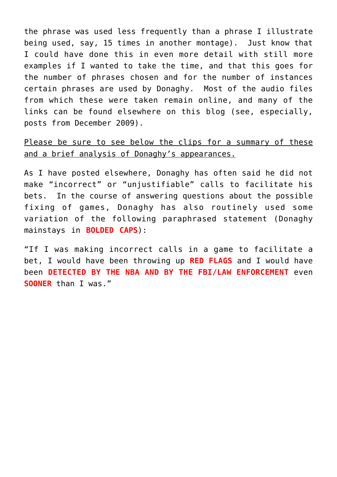the phrase was used less frequently than a phrase I illustrate being used, say, 15 times in another montage). Just know that I could have done this in even more detail with still more examples if I wanted to take the time, and that this goes for the number of phrases chosen and for the number of instances certain phrases are used by Donaghy. Most of the audio files from which these were taken remain online, and many of the links can be found elsewhere on [this blog](http://nbascandal.blogspot.com/) (see, especially, posts from [December 2009\)](http://nbascandal.blogspot.com/2009_12_01_archive.html).

## Please be sure to see below the clips for a summary of these and a brief analysis of Donaghy's appearances.

As I have posted [elsewhere,](https://seanpatrickgriffin.net/donaghy-on-not-making-incorrect-calls/) Donaghy has often said he did not make "incorrect" or "unjustifiable" calls to facilitate his bets. In the course of answering questions about the possible fixing of games, Donaghy has also routinely used some variation of the following paraphrased statement (Donaghy mainstays in **BOLDED CAPS**):

"If I was making incorrect calls in a game to facilitate a bet, I would have been throwing up **RED FLAGS** and I would have been **DETECTED BY THE NBA AND BY THE FBI/LAW ENFORCEMENT** even **SOONER** than I was."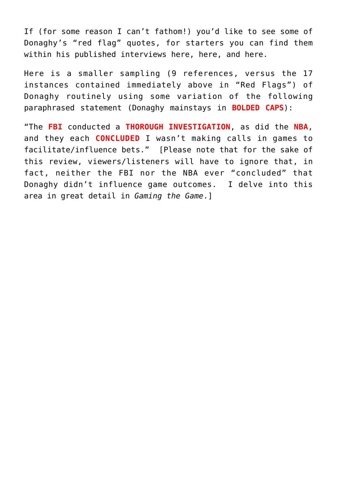If (for some reason I can't fathom!) you'd like to see some of Donaghy's "red flag" quotes, for starters you can find them within his published interviews [here](http://www.slamonline.com/online/nba/2009/12/one-on-one-with-tim-donaghy/), [here,](http://www.hoopsworld.com/Story.asp?story_id=14648) and [here](http://sports.yahoo.com/nba/blog/ball_dont_lie/post/BDL-Interview-Tim-Donaghy?urn=nba-208912).

Here is a smaller sampling (9 references, versus the 17 instances contained immediately above in "Red Flags") of Donaghy routinely using some variation of the following paraphrased statement (Donaghy mainstays in **BOLDED CAPS**):

"The **FBI** conducted a **THOROUGH INVESTIGATION**, as did the **NBA**, and they each **CONCLUDED** I wasn't making calls in games to facilitate/influence bets." [Please note that for the sake of this review, viewers/listeners will have to ignore that, [in](https://seanpatrickgriffin.net/60-minutes-on-donaghys-betting-success/) [fact](https://seanpatrickgriffin.net/60-minutes-on-donaghys-betting-success/), neither the FBI nor the NBA ever "concluded" that Donaghy didn't influence game outcomes. I delve into this area in great detail in *[Gaming the Game](http://www.amazon.com/Gaming-Game-Confessions-Battista-Betting/dp/1569804443/)*.]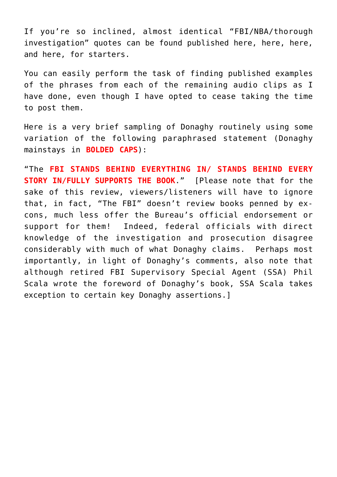If you're so inclined, almost identical "FBI/NBA/thorough investigation" quotes can be found published [here,](http://www.slamonline.com/online/nba/2009/12/one-on-one-with-tim-donaghy/) [here](http://sports.yahoo.com/nba/blog/ball_dont_lie/post/BDL-Interview-Tim-Donaghy?urn=nba-208912), [here,](http://espn.go.com/blog/truehoop/post/_/id/11340/tim-donaghys-claims-on-trial) and [here,](http://www.cbsnews.com/stories/2009/12/04/60minutes/main5880547.shtml) for starters.

You can easily perform the task of finding published examples of the phrases from each of the remaining audio clips as I have done, even though I have opted to cease taking the time to post them.

Here is a very brief sampling of Donaghy routinely using some variation of the following paraphrased statement (Donaghy mainstays in **BOLDED CAPS**):

"The **FBI STANDS BEHIND EVERYTHING IN/ STANDS BEHIND EVERY STORY IN/FULLY SUPPORTS THE BOOK**." [Please note that for the sake of this review, viewers/listeners will have to ignore that, [in fact,](http://donaghypersonalfouls.blogspot.com/2011/02/donaghy-claims-post-november-2009.html) "The FBI" doesn't review books penned by excons, much less offer the Bureau's official endorsement or support for them! Indeed, federal officials with direct knowledge of the investigation and prosecution disagree considerably with much of what Donaghy claims. Perhaps most importantly, in light of Donaghy's comments, also note that although retired FBI Supervisory Special Agent (SSA) Phil Scala wrote the foreword of Donaghy's book, SSA Scala [takes](https://seanpatrickgriffin.net/on-mob-and-nba-betting-scanda/) [exception](https://seanpatrickgriffin.net/on-mob-and-nba-betting-scanda/) to certain [key Donaghy assertions.](http://donaghypersonalfouls.blogspot.com/2011/02/donaghy-claims-post-november-2009.html)]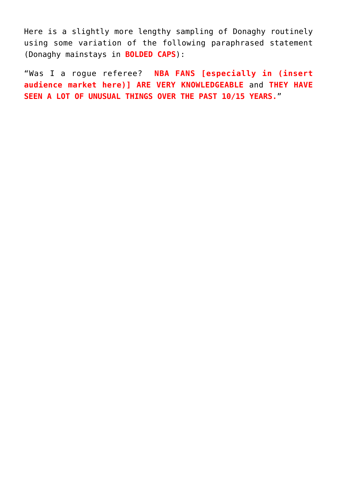Here is a slightly more lengthy sampling of Donaghy routinely using some variation of the following paraphrased statement (Donaghy mainstays in **BOLDED CAPS**):

"Was I a rogue referee? **NBA FANS [especially in (insert audience market here)] ARE VERY KNOWLEDGEABLE** and **THEY HAVE SEEN A LOT OF UNUSUAL THINGS OVER THE PAST 10/15 YEARS.**"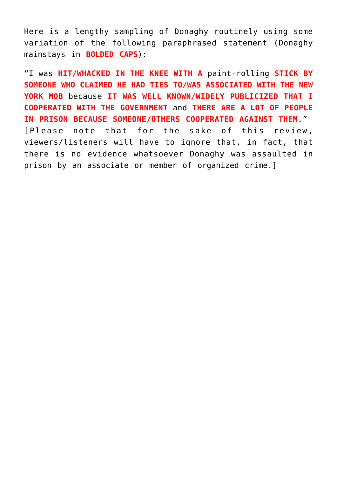Here is a lengthy sampling of Donaghy routinely using some variation of the following paraphrased statement (Donaghy mainstays in **BOLDED CAPS**):

"I was **HIT/WHACKED IN THE KNEE WITH A** paint-rolling **STICK BY SOMEONE WHO CLAIMED HE HAD TIES TO/WAS ASSOCIATED WITH THE NEW YORK MOB** because **IT WAS WELL KNOWN/WIDELY PUBLICIZED THAT I COOPERATED WITH THE GOVERNMENT** and **THERE ARE A LOT OF PEOPLE IN PRISON BECAUSE SOMEONE/OTHERS COOPERATED AGAINST THEM**." [Please note that for the sake of this review, viewers/listeners will have to ignore that, in fact, that there is [no evidence](https://seanpatrickgriffin.net/on-mob-and-nba-betting-scanda/) whatsoever Donaghy was assaulted in prison by an associate or member of organized crime.]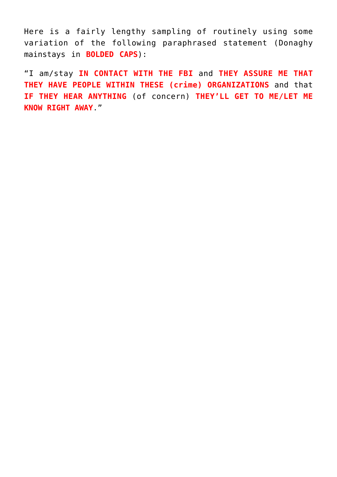Here is a fairly lengthy sampling of routinely using some variation of the following paraphrased statement (Donaghy mainstays in **BOLDED CAPS**):

"I am/stay **IN CONTACT WITH THE FBI** and **THEY ASSURE ME THAT THEY HAVE PEOPLE WITHIN THESE (crime) ORGANIZATIONS** and that **IF THEY HEAR ANYTHING** (of concern) **THEY'LL GET TO ME/LET ME KNOW RIGHT AWAY**."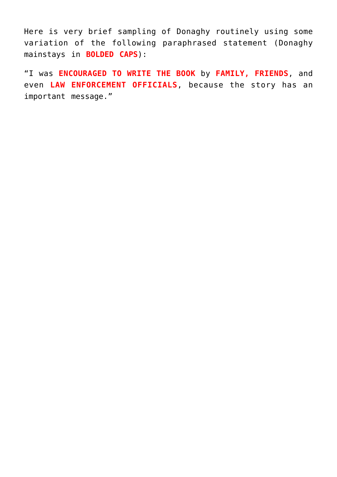Here is very brief sampling of Donaghy routinely using some variation of the following paraphrased statement (Donaghy mainstays in **BOLDED CAPS**):

"I was **ENCOURAGED TO WRITE THE BOOK** by **FAMILY, FRIENDS**, and even **LAW ENFORCEMENT OFFICIALS**, because the story has an important message."